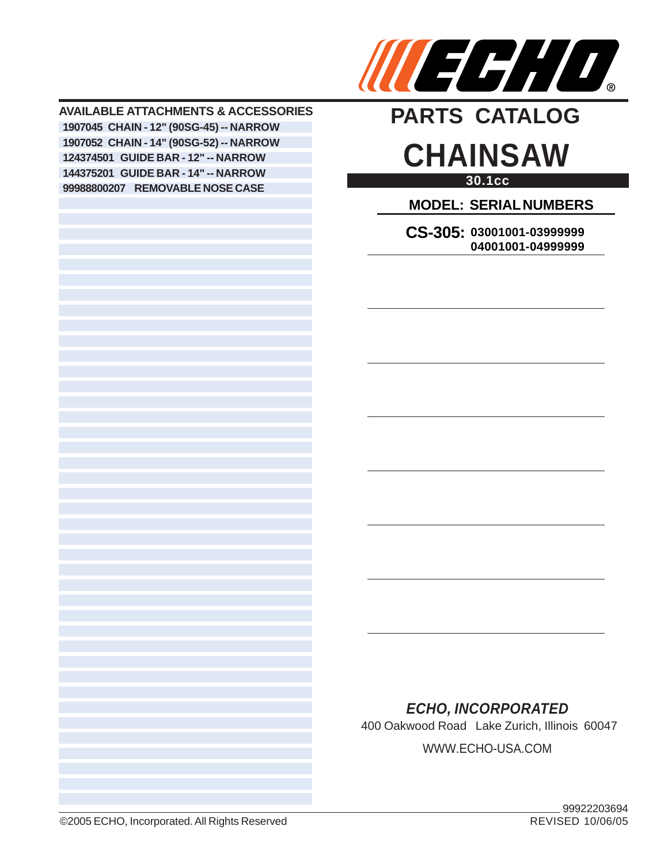

**AVAILABLE ATTACHMENTS & ACCESSORIES CHAIN - 12" (90SG-45) -- NARROW CHAIN - 14" (90SG-52) -- NARROW GUIDE BAR - 12" -- NARROW GUIDE BAR - 14" -- NARROW REMOVABLE NOSE CASE**

# **30.1cc CHAINSAW PARTS CATALOG**

**MODEL: SERIAL NUMBERS**

**CS-305: 03001001-03999999 04001001-04999999**

### *ECHO, INCORPORATED*

400 Oakwood Road Lake Zurich, Illinois 60047 WWW.ECHO-USA.COM

©2005 ECHO, Incorporated. All Rights Reserved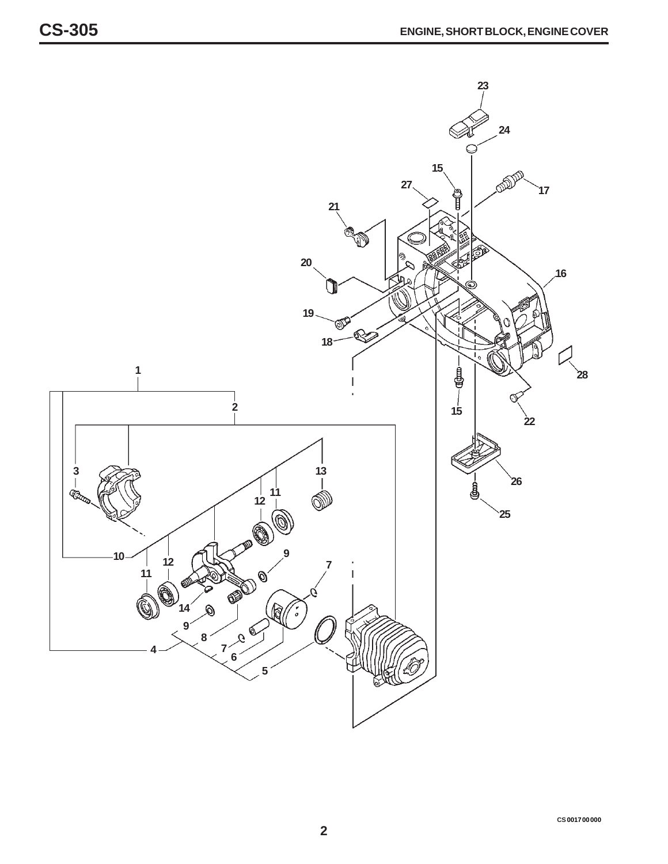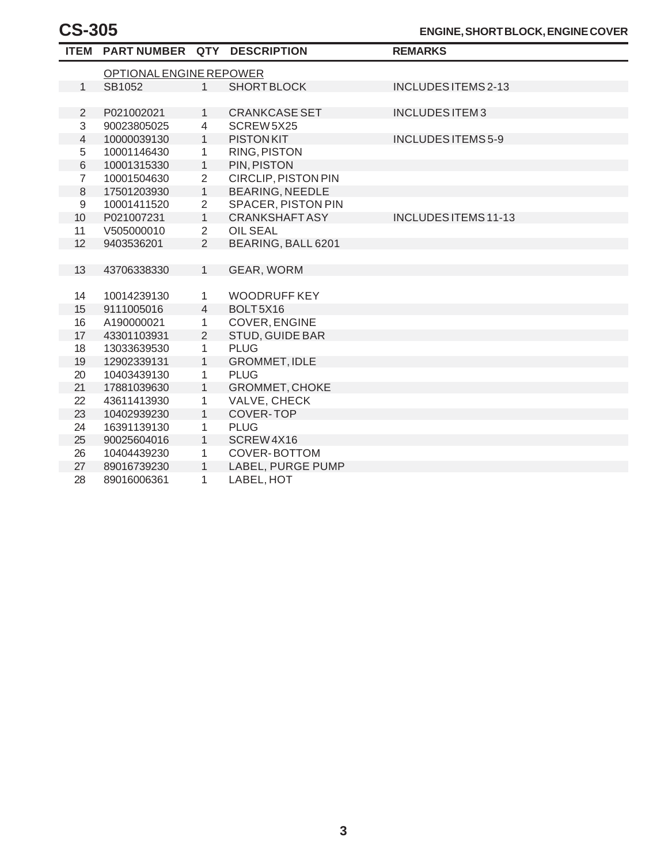|                  | ITEM PART NUMBER QTY DESCRIPTION |                |                            | <b>REMARKS</b>              |  |  |
|------------------|----------------------------------|----------------|----------------------------|-----------------------------|--|--|
|                  | OPTIONAL ENGINE REPOWER          |                |                            |                             |  |  |
| $\mathbf{1}$     | SB1052                           | 1              | <b>SHORT BLOCK</b>         | <b>INCLUDES ITEMS 2-13</b>  |  |  |
|                  |                                  |                |                            |                             |  |  |
| $\overline{2}$   | P021002021                       | $\mathbf{1}$   | <b>CRANKCASE SET</b>       | INCLUDES ITEM3              |  |  |
| 3                | 90023805025                      | $\overline{4}$ | SCREW 5X25                 |                             |  |  |
| $\overline{4}$   | 10000039130                      | $\mathbf{1}$   | <b>PISTONKIT</b>           | <b>INCLUDES ITEMS 5-9</b>   |  |  |
| $\mathbf 5$      | 10001146430                      | 1              | RING, PISTON               |                             |  |  |
| $\,$ 6 $\,$      | 10001315330                      | $\mathbf{1}$   | PIN, PISTON                |                             |  |  |
| $\overline{7}$   | 10001504630                      | $\overline{2}$ | <b>CIRCLIP, PISTON PIN</b> |                             |  |  |
| 8                | 17501203930                      | $\mathbf{1}$   | <b>BEARING, NEEDLE</b>     |                             |  |  |
| $\boldsymbol{9}$ | 10001411520                      | $\overline{2}$ | <b>SPACER, PISTON PIN</b>  |                             |  |  |
| 10               | P021007231                       | $\mathbf{1}$   | <b>CRANKSHAFT ASY</b>      | <b>INCLUDES ITEMS 11-13</b> |  |  |
| 11               | V505000010                       | $\overline{2}$ | <b>OIL SEAL</b>            |                             |  |  |
| 12               | 9403536201                       | 2              | BEARING, BALL 6201         |                             |  |  |
|                  |                                  |                |                            |                             |  |  |
| 13               | 43706338330                      | 1              | GEAR, WORM                 |                             |  |  |
|                  |                                  |                |                            |                             |  |  |
| 14               | 10014239130                      | $\mathbf{1}$   | <b>WOODRUFF KEY</b>        |                             |  |  |
| 15               | 9111005016                       | $\overline{4}$ | BOLT5X16                   |                             |  |  |
| 16               | A190000021                       | $\mathbf{1}$   | COVER, ENGINE              |                             |  |  |
| 17               | 43301103931                      | $\overline{2}$ | <b>STUD, GUIDE BAR</b>     |                             |  |  |
| 18               | 13033639530                      | $\mathbf{1}$   | <b>PLUG</b>                |                             |  |  |
| 19               | 12902339131                      | $\mathbf{1}$   | <b>GROMMET, IDLE</b>       |                             |  |  |
| 20               | 10403439130                      | 1              | <b>PLUG</b>                |                             |  |  |
| 21               | 17881039630                      | 1              | <b>GROMMET, CHOKE</b>      |                             |  |  |
| 22               | 43611413930                      | 1              | VALVE, CHECK               |                             |  |  |
| 23               | 10402939230                      | $\mathbf{1}$   | COVER-TOP                  |                             |  |  |
| 24               | 16391139130                      | 1              | <b>PLUG</b>                |                             |  |  |
| 25               | 90025604016                      | 1              | SCREW4X16                  |                             |  |  |
| 26               | 10404439230                      | 1              | COVER-BOTTOM               |                             |  |  |
| 27               | 89016739230                      | $\mathbf{1}$   | LABEL, PURGE PUMP          |                             |  |  |
| 28               | 89016006361                      | 1              | LABEL, HOT                 |                             |  |  |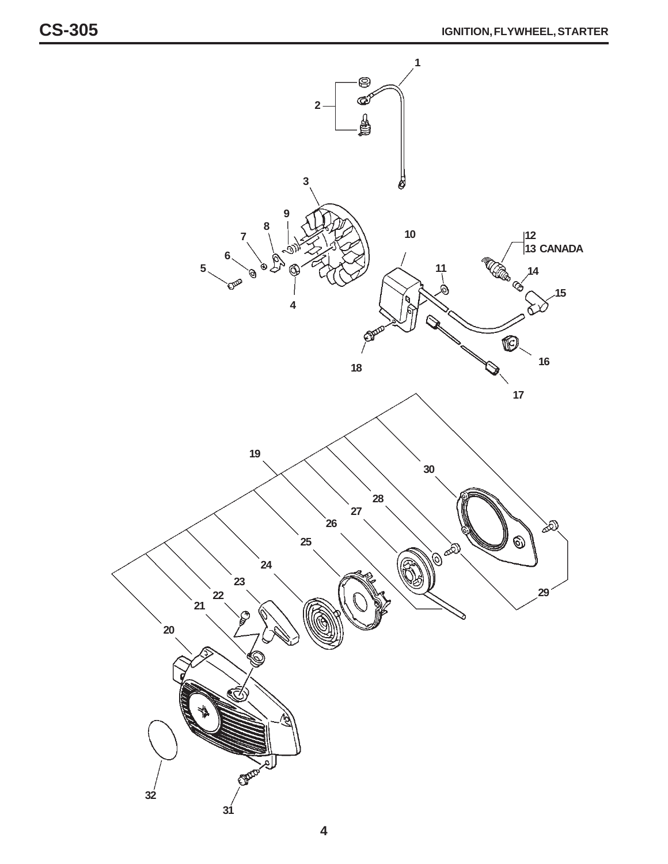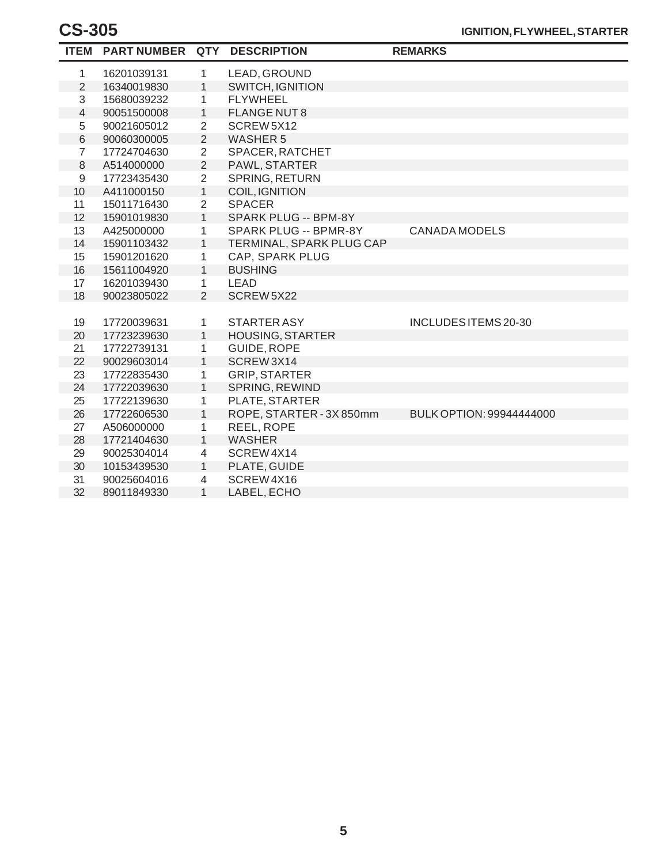|                | ITEM PARTNUMBER QTY |                | <b>DESCRIPTION</b>       | <b>REMARKS</b>           |
|----------------|---------------------|----------------|--------------------------|--------------------------|
| 1              | 16201039131         | $\mathbf{1}$   | LEAD, GROUND             |                          |
| 2              | 16340019830         | 1              | <b>SWITCH, IGNITION</b>  |                          |
| 3              | 15680039232         | 1              | <b>FLYWHEEL</b>          |                          |
| 4              | 90051500008         | $\mathbf{1}$   | <b>FLANGE NUT8</b>       |                          |
| 5              | 90021605012         | $\overline{2}$ | SCREW5X12                |                          |
| $\,6$          | 90060300005         | $\overline{2}$ | <b>WASHER 5</b>          |                          |
| $\overline{7}$ | 17724704630         | $\overline{2}$ | SPACER, RATCHET          |                          |
| $\,8\,$        | A514000000          | $\overline{2}$ | PAWL, STARTER            |                          |
| $\mathsf 9$    | 17723435430         | $\overline{2}$ | SPRING, RETURN           |                          |
| 10             | A411000150          | $\mathbf{1}$   | <b>COIL, IGNITION</b>    |                          |
| 11             | 15011716430         | $\overline{2}$ | <b>SPACER</b>            |                          |
| 12             | 15901019830         | $\mathbf{1}$   | SPARK PLUG -- BPM-8Y     |                          |
| 13             | A425000000          | $\mathbf{1}$   | SPARK PLUG -- BPMR-8Y    | <b>CANADA MODELS</b>     |
| 14             | 15901103432         | $\mathbf{1}$   | TERMINAL, SPARK PLUG CAP |                          |
| 15             | 15901201620         | 1              | CAP, SPARK PLUG          |                          |
| 16             | 15611004920         | $\mathbf{1}$   | <b>BUSHING</b>           |                          |
| 17             | 16201039430         | $\mathbf{1}$   | LEAD                     |                          |
| 18             | 90023805022         | $\overline{2}$ | SCREW5X22                |                          |
|                |                     |                |                          |                          |
| 19             | 17720039631         | $\mathbf{1}$   | <b>STARTER ASY</b>       | INCLUDES ITEMS 20-30     |
| 20             | 17723239630         | $\mathbf{1}$   | <b>HOUSING, STARTER</b>  |                          |
| 21             | 17722739131         | 1              | GUIDE, ROPE              |                          |
| 22             | 90029603014         | $\mathbf{1}$   | SCREW3X14                |                          |
| 23             | 17722835430         | 1              | <b>GRIP, STARTER</b>     |                          |
| 24             | 17722039630         | $\mathbf{1}$   | SPRING, REWIND           |                          |
| 25             | 17722139630         | $\mathbf{1}$   | PLATE, STARTER           |                          |
| 26             | 17722606530         | $\mathbf{1}$   | ROPE, STARTER - 3X 850mm | BULK OPTION: 99944444000 |
| 27             | A506000000          | 1              | REEL, ROPE               |                          |
| 28             | 17721404630         | 1              | <b>WASHER</b>            |                          |
| 29             | 90025304014         | 4              | SCREW4X14                |                          |
| 30             | 10153439530         | $\mathbf{1}$   | PLATE, GUIDE             |                          |
| 31             | 90025604016         | $\overline{4}$ | SCREW4X16                |                          |
| 32             | 89011849330         | 1              | LABEL, ECHO              |                          |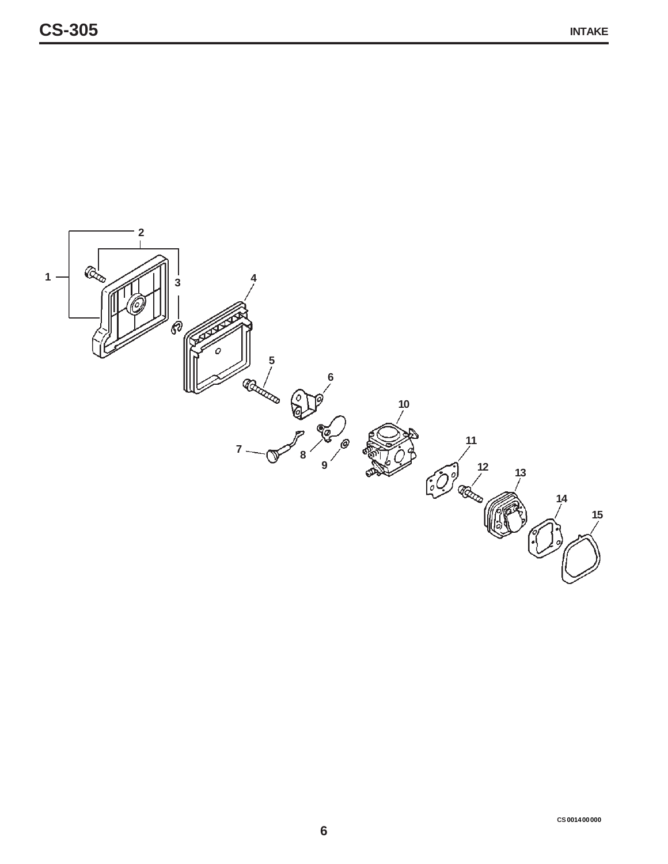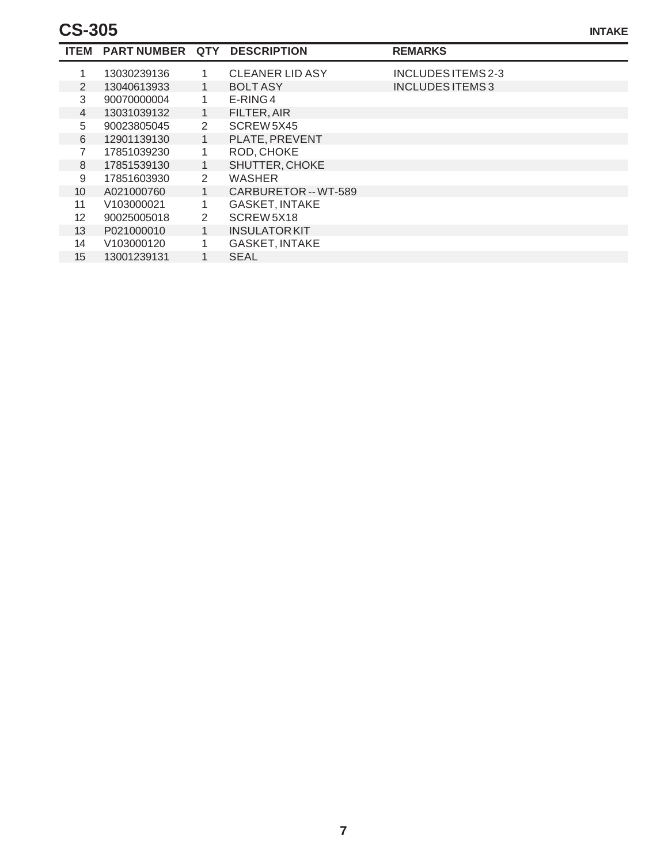|                 | ITEM PART NUMBER QTY DESCRIPTION |                |                        | <b>REMARKS</b>     |  |
|-----------------|----------------------------------|----------------|------------------------|--------------------|--|
|                 | 13030239136                      |                | <b>CLEANER LID ASY</b> | INCLUDES ITEMS 2-3 |  |
| 2               | 13040613933                      | 1.             | <b>BOLT ASY</b>        | INCLUDES ITEMS 3   |  |
| 3               | 90070000004                      | 1.             | $E-RING 4$             |                    |  |
| 4               | 13031039132                      | 1              | FILTER, AIR            |                    |  |
| 5               | 90023805045                      | 2              | SCREW 5X45             |                    |  |
| 6               | 12901139130                      | 1              | PLATE, PREVENT         |                    |  |
|                 | 17851039230                      | 1.             | ROD, CHOKE             |                    |  |
| 8               | 17851539130                      | 1              | SHUTTER, CHOKE         |                    |  |
| 9               | 17851603930                      | $\overline{2}$ | <b>WASHER</b>          |                    |  |
| 10 <sup>1</sup> | A021000760                       | 1              | CARBURETOR -- WT-589   |                    |  |
| 11              | V103000021                       | 1              | <b>GASKET, INTAKE</b>  |                    |  |
| 12 <sup>2</sup> | 90025005018                      | 2              | SCREW 5X18             |                    |  |
| 13 <sup>°</sup> | P021000010                       | 1              | <b>INSULATOR KIT</b>   |                    |  |
| 14              | V103000120                       | $\mathbf{1}$   | <b>GASKET, INTAKE</b>  |                    |  |
| 15              | 13001239131                      |                | <b>SEAL</b>            |                    |  |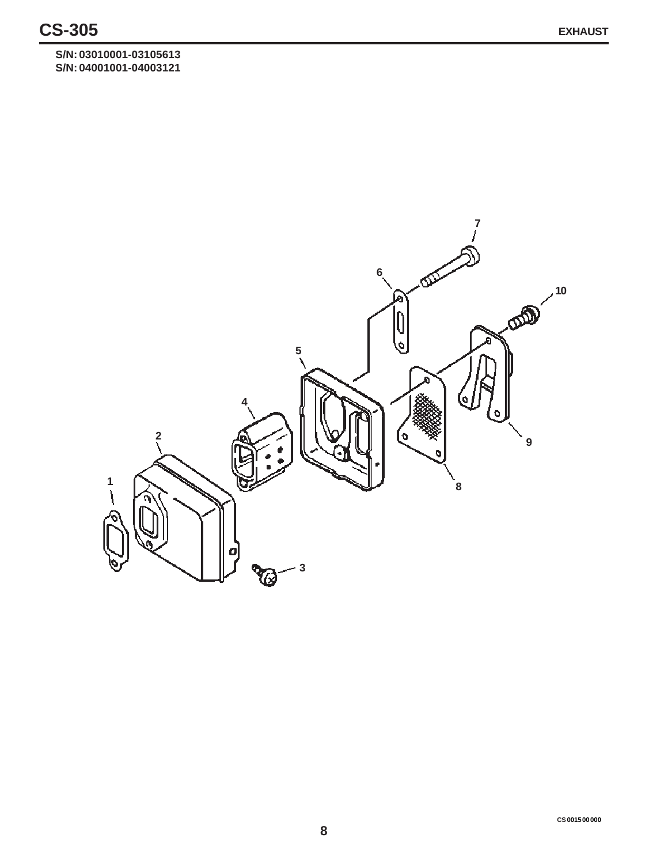**S/N: 03010001-03105613 S/N: 04001001-04003121**

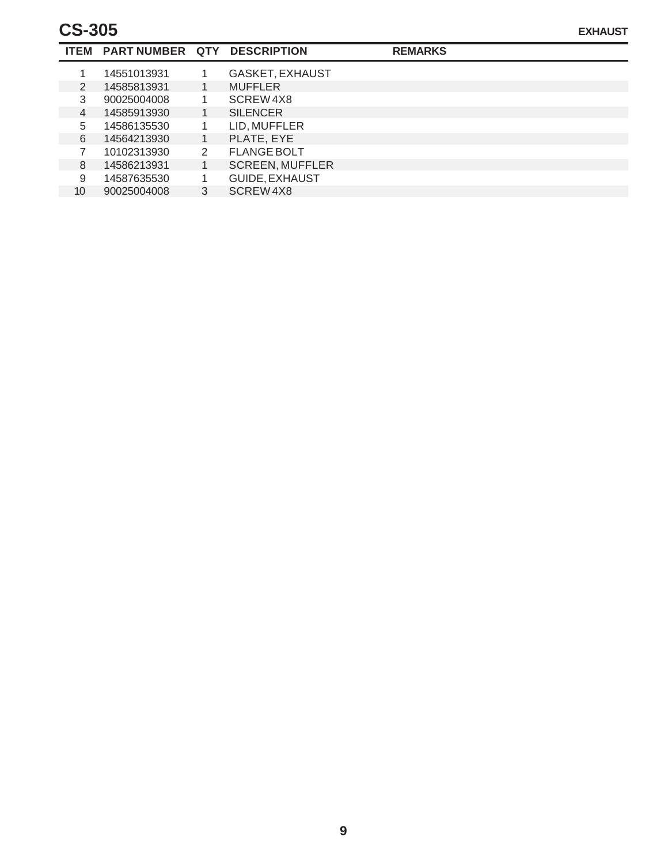### **CS-305**

|    |   | ITEM PART NUMBER QTY DESCRIPTION |   |                        | <b>REMARKS</b> |
|----|---|----------------------------------|---|------------------------|----------------|
|    |   | 14551013931                      |   | <b>GASKET, EXHAUST</b> |                |
|    | 2 | 14585813931                      |   | <b>MUFFLER</b>         |                |
|    | 3 | 90025004008                      |   | SCREW4X8               |                |
|    | 4 | 14585913930                      |   | <b>SILENCER</b>        |                |
| 5  |   | 14586135530                      |   | LID, MUFFLER           |                |
|    | 6 | 14564213930                      | 1 | PLATE, EYE             |                |
|    |   | 10102313930                      | 2 | <b>FLANGE BOLT</b>     |                |
|    | 8 | 14586213931                      |   | <b>SCREEN, MUFFLER</b> |                |
| 9  |   | 14587635530                      |   | <b>GUIDE, EXHAUST</b>  |                |
| 10 |   | 90025004008                      | 3 | SCREW4X8               |                |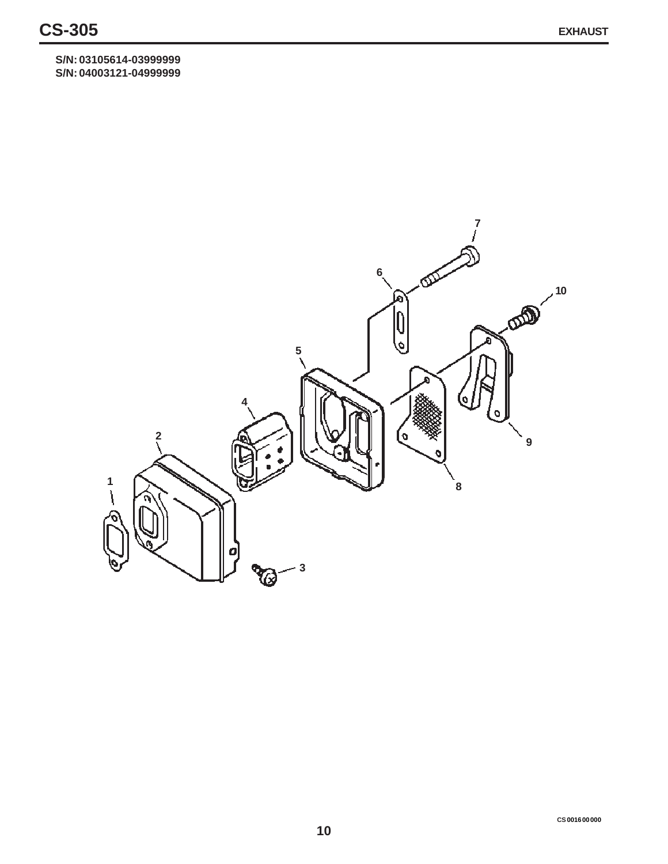**S/N: 03105614-03999999 S/N: 04003121-04999999**

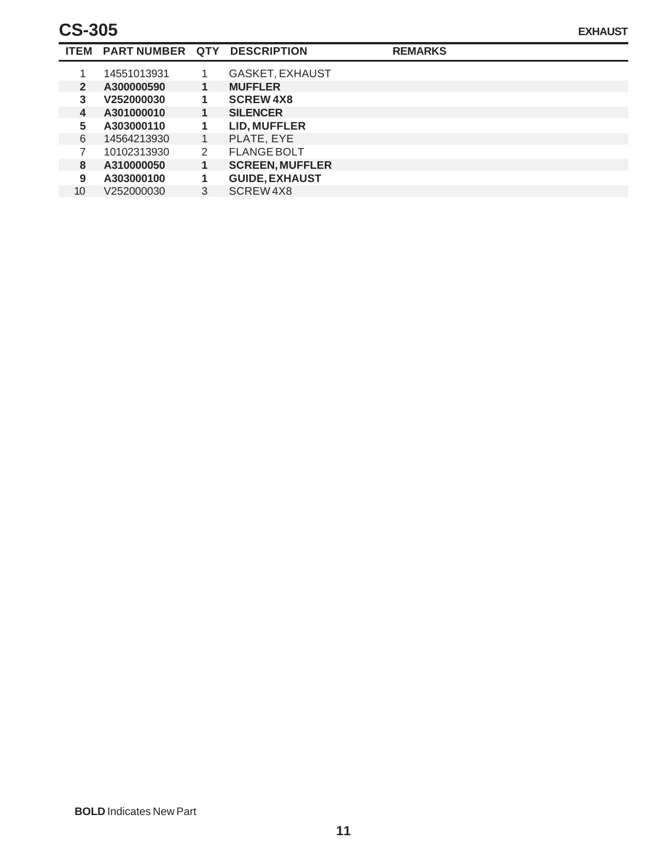## **CS-305**

|              | ITEM PART NUMBER QTY DESCRIPTION |   |                        | <b>REMARKS</b> |  |
|--------------|----------------------------------|---|------------------------|----------------|--|
|              | 14551013931                      |   | <b>GASKET, EXHAUST</b> |                |  |
| $\mathbf{2}$ | A300000590                       | 1 | <b>MUFFLER</b>         |                |  |
| 3            | V252000030                       | 1 | <b>SCREW4X8</b>        |                |  |
| 4            | A301000010                       | 1 | <b>SILENCER</b>        |                |  |
| 5.           | A303000110                       | 1 | <b>LID, MUFFLER</b>    |                |  |
| 6            | 14564213930                      | 1 | PLATE, EYE             |                |  |
|              | 10102313930                      | 2 | <b>FLANGE BOLT</b>     |                |  |
| 8            | A310000050                       | 1 | <b>SCREEN, MUFFLER</b> |                |  |
| 9            | A303000100                       | 1 | <b>GUIDE, EXHAUST</b>  |                |  |
| 10           | V252000030                       | 3 | SCREW4X8               |                |  |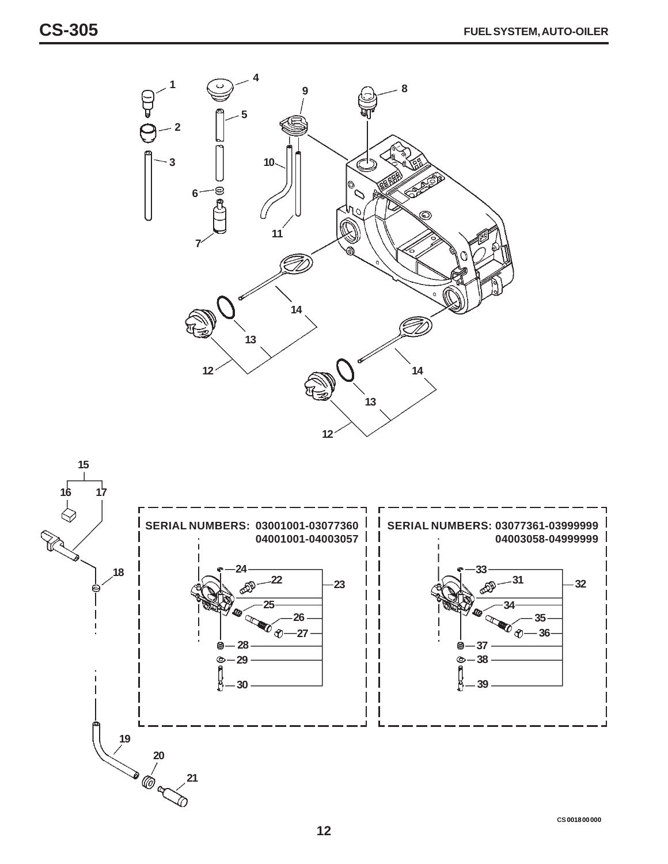



**CS 0018 00 000**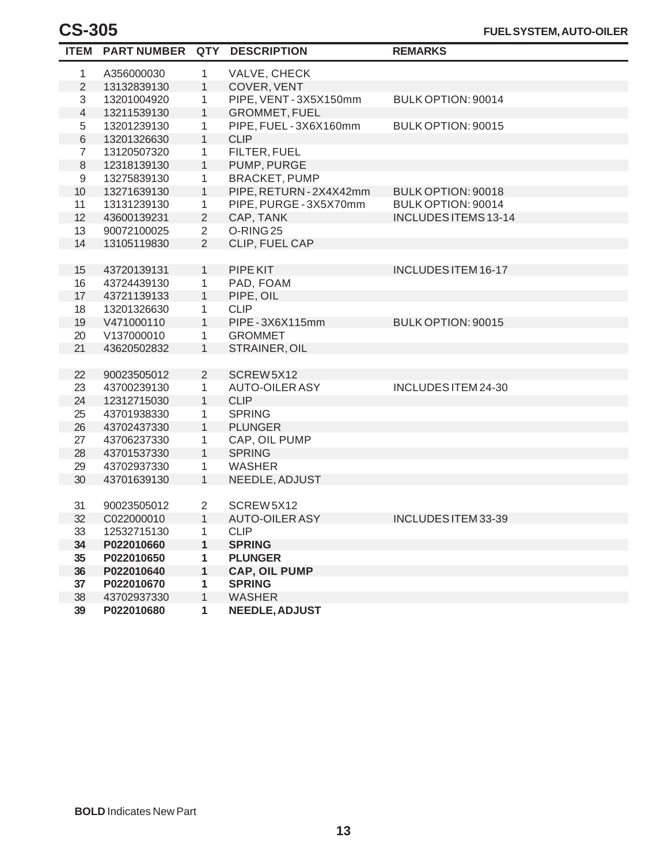|                | ITEM PARTNUMBER QTY |                | <b>DESCRIPTION</b>     | <b>REMARKS</b>             |
|----------------|---------------------|----------------|------------------------|----------------------------|
| 1              | A356000030          | 1              | VALVE, CHECK           |                            |
| $\overline{2}$ | 13132839130         | 1              | COVER, VENT            |                            |
| 3              | 13201004920         | 1              | PIPE, VENT - 3X5X150mm | BULK OPTION: 90014         |
| $\overline{4}$ | 13211539130         | $\mathbf{1}$   | <b>GROMMET, FUEL</b>   |                            |
| 5              | 13201239130         | 1              | PIPE, FUEL-3X6X160mm   | BULK OPTION: 90015         |
| 6              | 13201326630         | 1              | <b>CLIP</b>            |                            |
| $\overline{7}$ | 13120507320         | 1              | FILTER, FUEL           |                            |
| 8              | 12318139130         | $\mathbf{1}$   | PUMP, PURGE            |                            |
| 9              | 13275839130         | 1              | <b>BRACKET, PUMP</b>   |                            |
| 10             | 13271639130         | $\mathbf{1}$   | PIPE, RETURN-2X4X42mm  | BULK OPTION: 90018         |
| 11             | 13131239130         | 1              | PIPE, PURGE - 3X5X70mm | BULK OPTION: 90014         |
| 12             | 43600139231         | $\overline{2}$ | CAP, TANK              | INCLUDES ITEMS 13-14       |
| 13             | 90072100025         | $\overline{2}$ | O-RING <sub>25</sub>   |                            |
| 14             | 13105119830         | $\overline{2}$ | CLIP, FUEL CAP         |                            |
|                |                     |                |                        |                            |
| 15             | 43720139131         | $\mathbf{1}$   | PIPE KIT               | <b>INCLUDES ITEM 16-17</b> |
| 16             | 43724439130         | 1              | PAD, FOAM              |                            |
| 17             | 43721139133         | 1              | PIPE, OIL              |                            |
| 18             | 13201326630         | 1              | <b>CLIP</b>            |                            |
| 19             | V471000110          | $\mathbf{1}$   | PIPE - 3X6X115mm       | BULK OPTION: 90015         |
| 20             | V137000010          | 1.             | <b>GROMMET</b>         |                            |
| 21             | 43620502832         | $\mathbf{1}$   | STRAINER, OIL          |                            |
|                |                     |                |                        |                            |
| 22             | 90023505012         | $\overline{2}$ | SCREW5X12              |                            |
| 23             | 43700239130         | 1              | <b>AUTO-OILER ASY</b>  | INCLUDES ITEM 24-30        |
| 24             | 12312715030         | 1              | <b>CLIP</b>            |                            |
| 25             | 43701938330         | 1              | <b>SPRING</b>          |                            |
| 26             | 43702437330         | $\mathbf{1}$   | <b>PLUNGER</b>         |                            |
| 27             | 43706237330         | 1              | CAP, OIL PUMP          |                            |
| 28             | 43701537330         | $\mathbf{1}$   | <b>SPRING</b>          |                            |
| 29             | 43702937330         | 1              | <b>WASHER</b>          |                            |
| 30             | 43701639130         | $\mathbf{1}$   | NEEDLE, ADJUST         |                            |
|                |                     |                |                        |                            |
| 31             | 90023505012         | $\overline{2}$ | SCREW5X12              |                            |
| 32             | C022000010          | 1              | <b>AUTO-OILER ASY</b>  | INCLUDES ITEM 33-39        |
| 33             | 12532715130         | 1              | <b>CLIP</b>            |                            |
| 34             | P022010660          | 1              | <b>SPRING</b>          |                            |
| 35             | P022010650          | 1              | <b>PLUNGER</b>         |                            |
| 36             | P022010640          | 1              | <b>CAP, OIL PUMP</b>   |                            |
| 37             | P022010670          | 1              | <b>SPRING</b>          |                            |
| 38             | 43702937330         | 1              | <b>WASHER</b>          |                            |
| 39             | P022010680          | 1              | <b>NEEDLE, ADJUST</b>  |                            |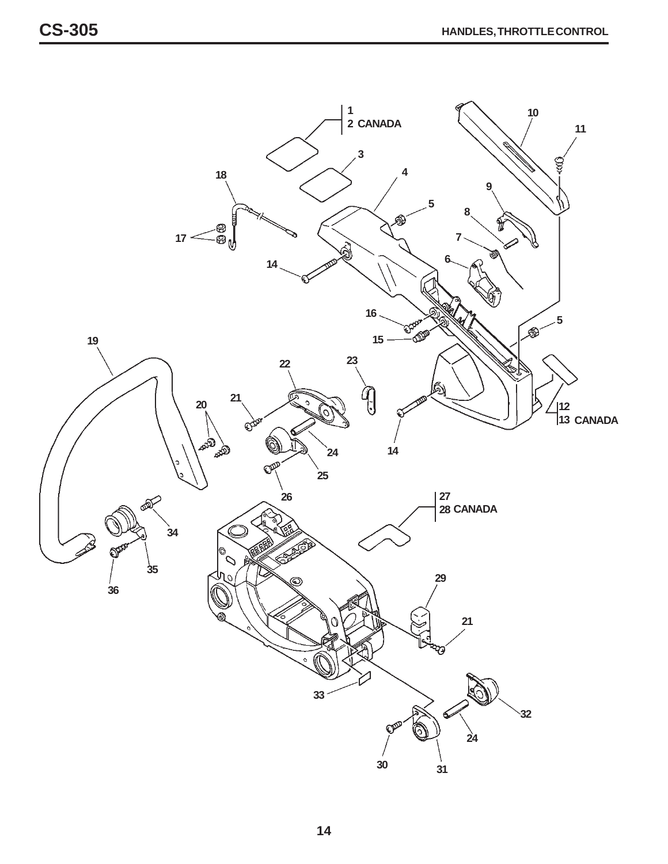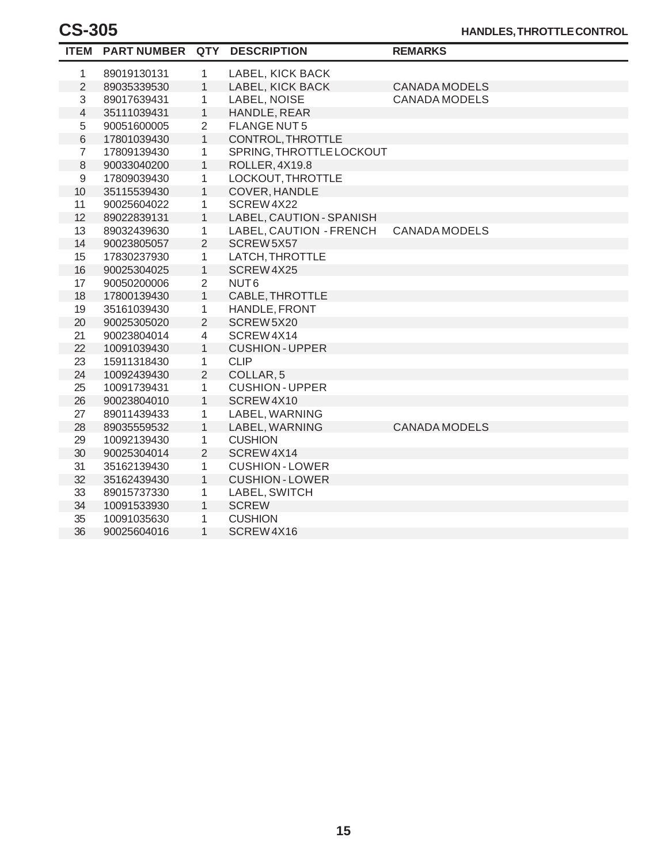| <b>ITEM</b>    | <b>PART NUMBER QTY</b> |                | <b>DESCRIPTION</b>       | <b>REMARKS</b>       |
|----------------|------------------------|----------------|--------------------------|----------------------|
| 1              | 89019130131            | $\mathbf{1}$   | LABEL, KICK BACK         |                      |
| $\overline{2}$ | 89035339530            | $\mathbf{1}$   | LABEL, KICK BACK         | <b>CANADA MODELS</b> |
| 3              | 89017639431            | 1              | LABEL, NOISE             | <b>CANADA MODELS</b> |
| 4              | 35111039431            | $\mathbf{1}$   | HANDLE, REAR             |                      |
| 5              | 90051600005            | 2              | <b>FLANGE NUT5</b>       |                      |
| $\,$ 6 $\,$    | 17801039430            | $\mathbf{1}$   | CONTROL, THROTTLE        |                      |
| $\overline{7}$ | 17809139430            | $\mathbf{1}$   | SPRING, THROTTLE LOCKOUT |                      |
| 8              | 90033040200            | $\mathbf{1}$   | ROLLER, 4X19.8           |                      |
| 9              | 17809039430            | 1              | LOCKOUT, THROTTLE        |                      |
| 10             | 35115539430            | $\mathbf{1}$   | COVER, HANDLE            |                      |
| 11             | 90025604022            | 1              | SCREW4X22                |                      |
| 12             | 89022839131            | $\mathbf{1}$   | LABEL, CAUTION - SPANISH |                      |
| 13             | 89032439630            | $\mathbf{1}$   | LABEL, CAUTION - FRENCH  | <b>CANADA MODELS</b> |
| 14             | 90023805057            | 2              | SCREW 5X57               |                      |
| 15             | 17830237930            | 1              | LATCH, THROTTLE          |                      |
| 16             | 90025304025            | $\mathbf{1}$   | SCREW4X25                |                      |
| 17             | 90050200006            | $\overline{2}$ | NUT <sub>6</sub>         |                      |
| 18             | 17800139430            | $\mathbf{1}$   | CABLE, THROTTLE          |                      |
| 19             | 35161039430            | $\mathbf{1}$   | HANDLE, FRONT            |                      |
| 20             | 90025305020            | $\overline{2}$ | SCREW5X20                |                      |
| 21             | 90023804014            | $\overline{4}$ | SCREW4X14                |                      |
| 22             | 10091039430            | 1              | <b>CUSHION - UPPER</b>   |                      |
| 23             | 15911318430            | 1              | <b>CLIP</b>              |                      |
| 24             | 10092439430            | $\overline{2}$ | COLLAR <sub>, 5</sub>    |                      |
| 25             | 10091739431            | 1              | <b>CUSHION-UPPER</b>     |                      |
| 26             | 90023804010            | 1              | SCREW4X10                |                      |
| 27             | 89011439433            | 1              | LABEL, WARNING           |                      |
| 28             | 89035559532            | $\mathbf{1}$   | LABEL, WARNING           | <b>CANADA MODELS</b> |
| 29             | 10092139430            | $\mathbf{1}$   | <b>CUSHION</b>           |                      |
| 30             | 90025304014            | $\overline{2}$ | SCREW4X14                |                      |
| 31             | 35162139430            | $\mathbf{1}$   | <b>CUSHION - LOWER</b>   |                      |
| 32             | 35162439430            | $\mathbf{1}$   | <b>CUSHION - LOWER</b>   |                      |
| 33             | 89015737330            | 1              | LABEL, SWITCH            |                      |
| 34             | 10091533930            | $\mathbf{1}$   | <b>SCREW</b>             |                      |
| 35             | 10091035630            | 1              | <b>CUSHION</b>           |                      |
| 36             | 90025604016            | $\mathbf{1}$   | SCREW4X16                |                      |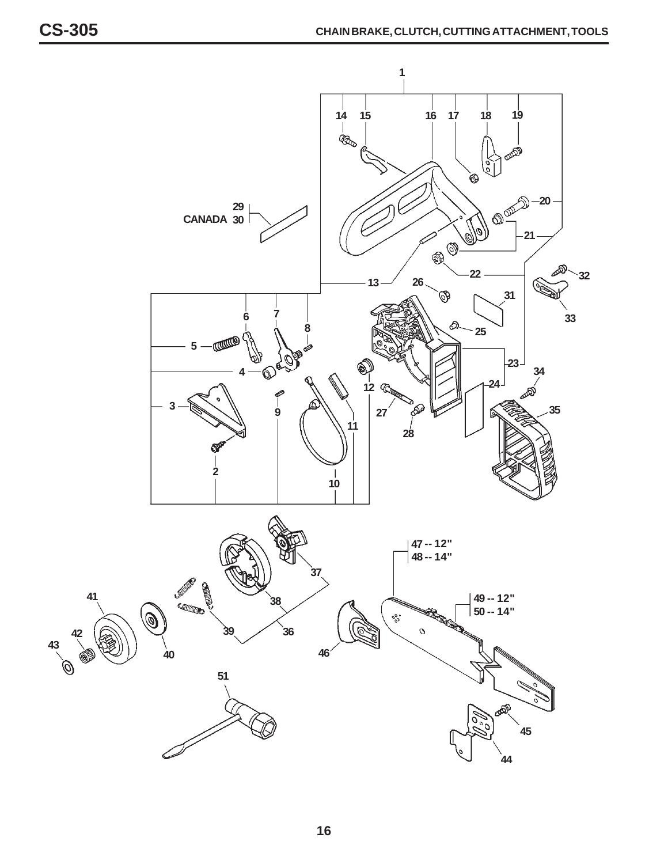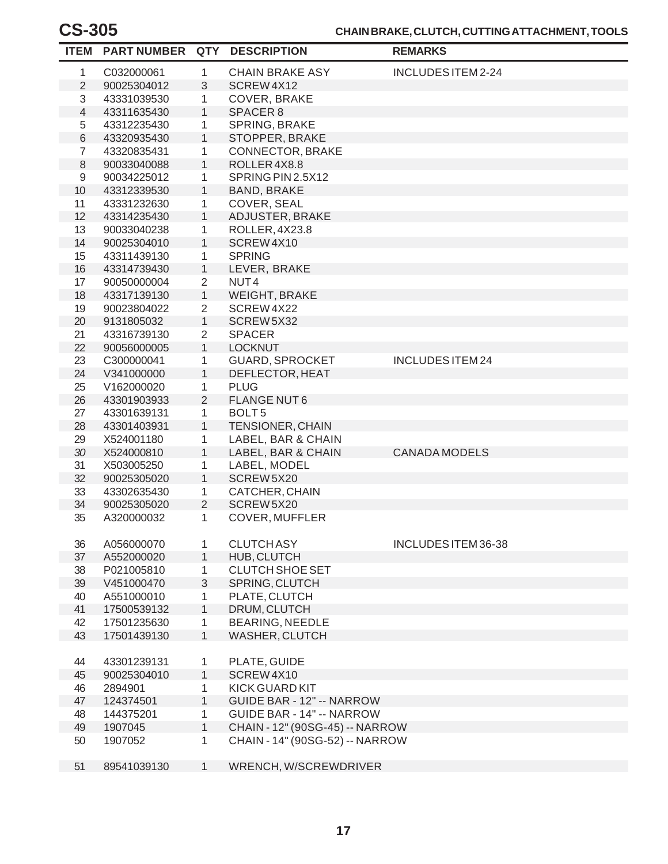#### **CHAIN BRAKE, CLUTCH, CUTTING ATTACHMENT, TOOLS**

| <b>ITEM</b>    | <b>PART NUMBER QTY</b> |                | <b>DESCRIPTION</b>               | <b>REMARKS</b>          |
|----------------|------------------------|----------------|----------------------------------|-------------------------|
| 1              | C032000061             | 1              | <b>CHAIN BRAKE ASY</b>           | INCLUDESITEM 2-24       |
| $\sqrt{2}$     | 90025304012            | 3              | SCREW4X12                        |                         |
| 3              | 43331039530            | 1              | COVER, BRAKE                     |                         |
| $\overline{4}$ | 43311635430            | $\mathbf{1}$   | SPACER <sub>8</sub>              |                         |
| 5              | 43312235430            | 1              | SPRING, BRAKE                    |                         |
| $\,6$          | 43320935430            | $\mathbf{1}$   | STOPPER, BRAKE                   |                         |
| $\overline{7}$ | 43320835431            | 1              | <b>CONNECTOR, BRAKE</b>          |                         |
| $\,8\,$        | 90033040088            | $\mathbf{1}$   | ROLLER4X8.8                      |                         |
| 9              | 90034225012            | 1              | SPRING PIN 2.5X12                |                         |
| 10             | 43312339530            | $\mathbf{1}$   | <b>BAND, BRAKE</b>               |                         |
| 11             | 43331232630            | 1              | COVER, SEAL                      |                         |
| 12             | 43314235430            | $\mathbf{1}$   | ADJUSTER, BRAKE                  |                         |
| 13             | 90033040238            | 1              | ROLLER, 4X23.8                   |                         |
| 14             | 90025304010            | $\mathbf{1}$   | SCREW4X10                        |                         |
| 15             | 43311439130            | 1              | <b>SPRING</b>                    |                         |
| 16             | 43314739430            | $\mathbf{1}$   | LEVER, BRAKE                     |                         |
| 17             | 90050000004            | $\overline{2}$ | NUT <sub>4</sub>                 |                         |
| 18             | 43317139130            | $\mathbf{1}$   | <b>WEIGHT, BRAKE</b>             |                         |
| 19             | 90023804022            | $\overline{2}$ | SCREW 4X22                       |                         |
| 20             | 9131805032             | $\mathbf{1}$   | SCREW5X32                        |                         |
| 21             | 43316739130            | $\overline{2}$ | <b>SPACER</b>                    |                         |
| 22             | 90056000005            | $\mathbf{1}$   | <b>LOCKNUT</b>                   |                         |
| 23             | C300000041             | 1              | <b>GUARD, SPROCKET</b>           | <b>INCLUDES ITEM 24</b> |
| 24             | V341000000             | 1              | DEFLECTOR, HEAT                  |                         |
| 25             | V162000020             | 1              | <b>PLUG</b>                      |                         |
| 26             | 43301903933            | 2              | <b>FLANGE NUT6</b>               |                         |
| 27             | 43301639131            | 1              | BOLT <sub>5</sub>                |                         |
| 28             | 43301403931            | $\mathbf{1}$   | TENSIONER, CHAIN                 |                         |
| 29             | X524001180             | 1              | LABEL, BAR & CHAIN               |                         |
| 30             | X524000810             | $\mathbf{1}$   | LABEL, BAR & CHAIN               | <b>CANADA MODELS</b>    |
| 31             | X503005250             | 1              | LABEL, MODEL                     |                         |
| 32             | 90025305020            | $\mathbf{1}$   | SCREW 5X20                       |                         |
| 33             | 43302635430            | 1              | CATCHER, CHAIN                   |                         |
| 34             | 90025305020            | $\overline{2}$ | SCREW 5X20                       |                         |
| 35             | A320000032             | 1              | COVER, MUFFLER                   |                         |
|                |                        |                |                                  |                         |
| 36             | A056000070             | 1              | <b>CLUTCH ASY</b>                | INCLUDES ITEM 36-38     |
| 37             | A552000020             | $\mathbf{1}$   | HUB, CLUTCH                      |                         |
| 38             | P021005810             | 1              | <b>CLUTCH SHOE SET</b>           |                         |
| 39             | V451000470             | 3              | SPRING, CLUTCH                   |                         |
| 40             | A551000010             | $\mathbf{1}$   | PLATE, CLUTCH                    |                         |
| 41             | 17500539132            | $\mathbf{1}$   | DRUM, CLUTCH                     |                         |
| 42             | 17501235630            | $\mathbf{1}$   | <b>BEARING, NEEDLE</b>           |                         |
| 43             | 17501439130            | $\mathbf{1}$   | WASHER, CLUTCH                   |                         |
|                |                        |                |                                  |                         |
| 44             | 43301239131            | 1              | PLATE, GUIDE                     |                         |
| 45             | 90025304010            | $\mathbf{1}$   | SCREW4X10                        |                         |
| 46             | 2894901                | 1              | KICK GUARD KIT                   |                         |
| 47             | 124374501              | $\mathbf{1}$   | <b>GUIDE BAR - 12" -- NARROW</b> |                         |
| 48             | 144375201              | 1              | <b>GUIDE BAR - 14" -- NARROW</b> |                         |
| 49             | 1907045                | $\mathbf{1}$   | CHAIN - 12" (90SG-45) -- NARROW  |                         |
| 50             | 1907052                | $\mathbf{1}$   | CHAIN - 14" (90SG-52) -- NARROW  |                         |
|                |                        |                |                                  |                         |
| 51             | 89541039130            | $\mathbf{1}$   | WRENCH, W/SCREWDRIVER            |                         |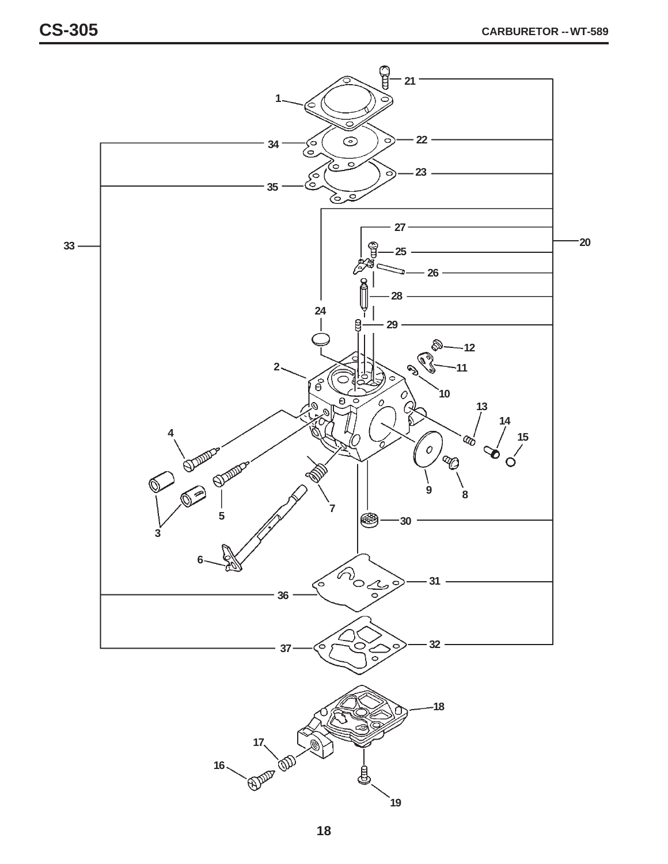